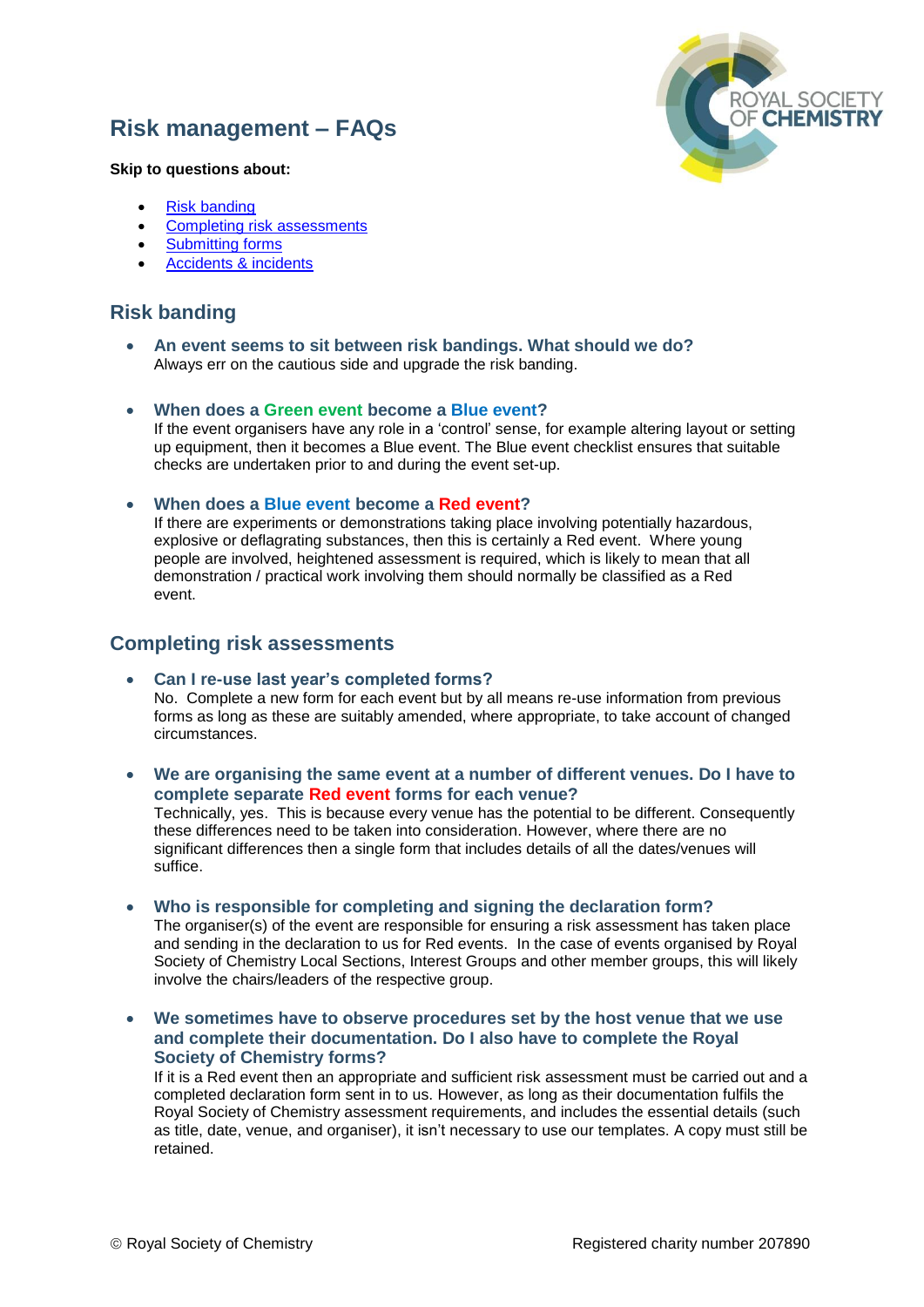# **Risk management – FAQs**



#### **Skip to questions about:**

- [Risk banding](#page-0-0)
- [Completing risk assessments](#page-0-1)
- [Submitting forms](#page-2-0)
- [Accidents & incidents](#page-2-1)

### <span id="page-0-0"></span>**Risk banding**

 **An event seems to sit between risk bandings. What should we do?** Always err on the cautious side and upgrade the risk banding.

#### **When does a Green event become a Blue event?**

If the event organisers have any role in a 'control' sense, for example altering layout or setting up equipment, then it becomes a Blue event. The Blue event checklist ensures that suitable checks are undertaken prior to and during the event set-up.

#### **When does a Blue event become a Red event?**

If there are experiments or demonstrations taking place involving potentially hazardous, explosive or deflagrating substances, then this is certainly a Red event. Where young people are involved, heightened assessment is required, which is likely to mean that all demonstration / practical work involving them should normally be classified as a Red event.

### <span id="page-0-1"></span>**Completing risk assessments**

- **Can I re-use last year's completed forms?** No. Complete a new form for each event but by all means re-use information from previous forms as long as these are suitably amended, where appropriate, to take account of changed circumstances.
- **We are organising the same event at a number of different venues. Do I have to complete separate Red event forms for each venue?**

Technically, yes. This is because every venue has the potential to be different. Consequently these differences need to be taken into consideration. However, where there are no significant differences then a single form that includes details of all the dates/venues will suffice.

**Who is responsible for completing and signing the declaration form?**

The organiser(s) of the event are responsible for ensuring a risk assessment has taken place and sending in the declaration to us for Red events. In the case of events organised by Royal Society of Chemistry Local Sections, Interest Groups and other member groups, this will likely involve the chairs/leaders of the respective group.

 **We sometimes have to observe procedures set by the host venue that we use and complete their documentation. Do I also have to complete the Royal Society of Chemistry forms?**

If it is a Red event then an appropriate and sufficient risk assessment must be carried out and a completed declaration form sent in to us. However, as long as their documentation fulfils the Royal Society of Chemistry assessment requirements, and includes the essential details (such as title, date, venue, and organiser), it isn't necessary to use our templates. A copy must still be retained.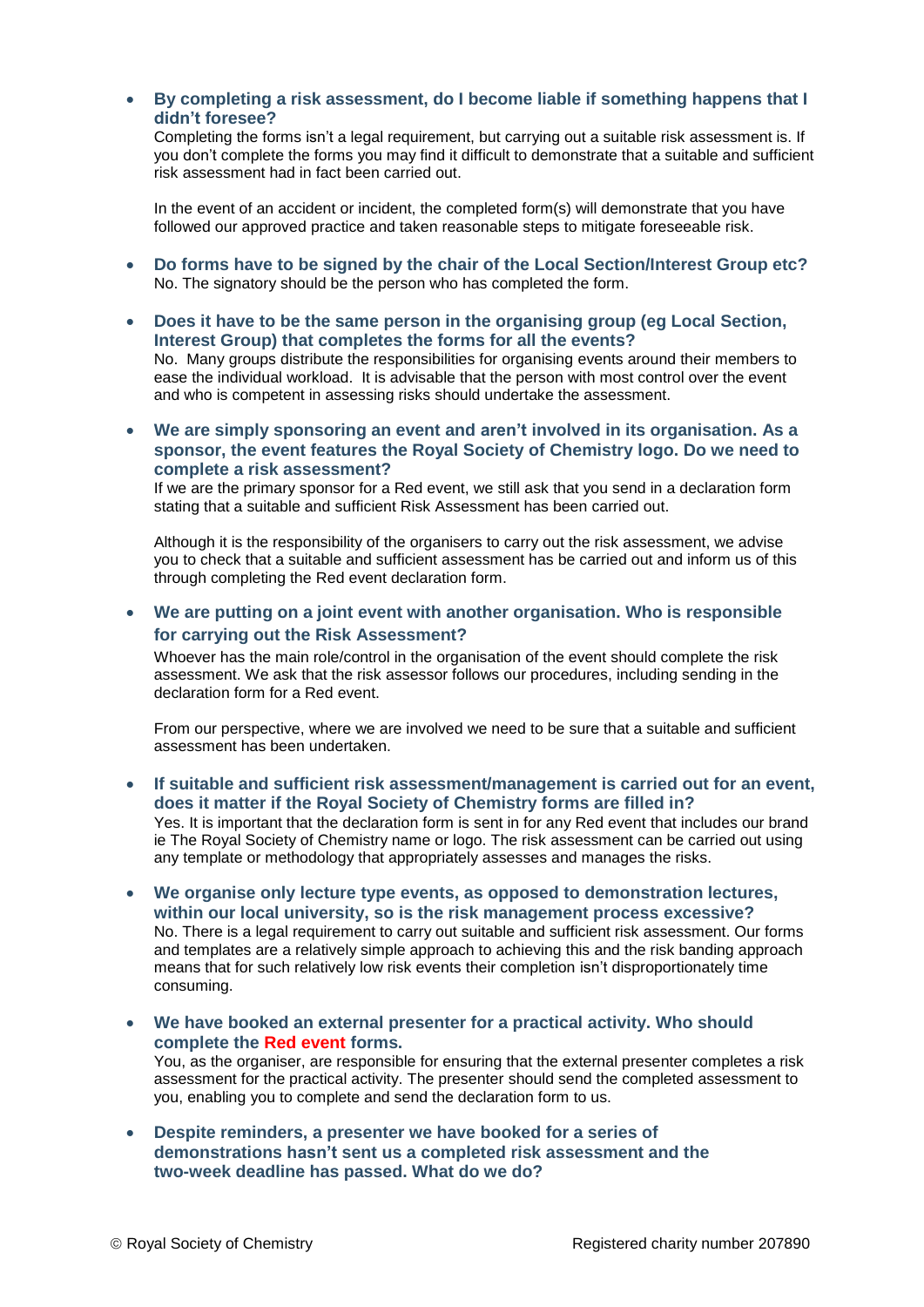#### **By completing a risk assessment, do I become liable if something happens that I didn't foresee?**

Completing the forms isn't a legal requirement, but carrying out a suitable risk assessment is. If you don't complete the forms you may find it difficult to demonstrate that a suitable and sufficient risk assessment had in fact been carried out.

In the event of an accident or incident, the completed form(s) will demonstrate that you have followed our approved practice and taken reasonable steps to mitigate foreseeable risk.

- **Do forms have to be signed by the chair of the Local Section/Interest Group etc?** No. The signatory should be the person who has completed the form.
- **Does it have to be the same person in the organising group (eg Local Section, Interest Group) that completes the forms for all the events?** No. Many groups distribute the responsibilities for organising events around their members to ease the individual workload. It is advisable that the person with most control over the event and who is competent in assessing risks should undertake the assessment.
- **We are simply sponsoring an event and aren't involved in its organisation. As a sponsor, the event features the Royal Society of Chemistry logo. Do we need to complete a risk assessment?**

If we are the primary sponsor for a Red event, we still ask that you send in a declaration form stating that a suitable and sufficient Risk Assessment has been carried out.

Although it is the responsibility of the organisers to carry out the risk assessment, we advise you to check that a suitable and sufficient assessment has be carried out and inform us of this through completing the Red event declaration form.

 **We are putting on a joint event with another organisation. Who is responsible for carrying out the Risk Assessment?**

Whoever has the main role/control in the organisation of the event should complete the risk assessment. We ask that the risk assessor follows our procedures, including sending in the declaration form for a Red event.

From our perspective, where we are involved we need to be sure that a suitable and sufficient assessment has been undertaken.

- **If suitable and sufficient risk assessment/management is carried out for an event, does it matter if the Royal Society of Chemistry forms are filled in?** Yes. It is important that the declaration form is sent in for any Red event that includes our brand ie The Royal Society of Chemistry name or logo. The risk assessment can be carried out using any template or methodology that appropriately assesses and manages the risks.
- **We organise only lecture type events, as opposed to demonstration lectures, within our local university, so is the risk management process excessive?** No. There is a legal requirement to carry out suitable and sufficient risk assessment. Our forms and templates are a relatively simple approach to achieving this and the risk banding approach means that for such relatively low risk events their completion isn't disproportionately time consuming.
- **We have booked an external presenter for a practical activity. Who should complete the Red event forms.**

You, as the organiser, are responsible for ensuring that the external presenter completes a risk assessment for the practical activity. The presenter should send the completed assessment to you, enabling you to complete and send the declaration form to us.

 **Despite reminders, a presenter we have booked for a series of demonstrations hasn't sent us a completed risk assessment and the two-week deadline has passed. What do we do?**